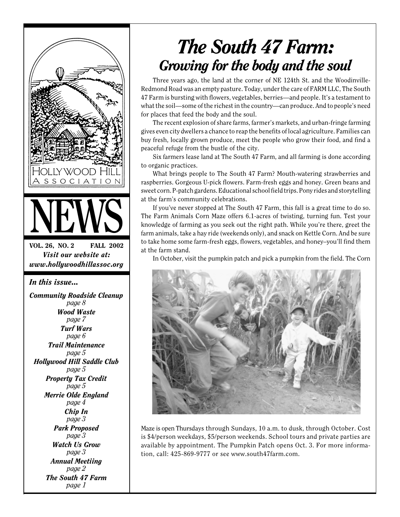

# *The South 47 Farm: Growing for the body and the soul*

Three years ago, the land at the corner of NE 124th St. and the Woodinville-Redmond Road was an empty pasture. Today, under the care of FARM LLC, The South 47 Farm is bursting with flowers, vegetables, berries—and people. It's a testament to what the soil—some of the richest in the country—can produce. And to people's need for places that feed the body and the soul.

The recent explosion of share farms, farmer's markets, and urban-fringe farming gives even city dwellers a chance to reap the benefits of local agriculture. Families can buy fresh, locally grown produce, meet the people who grow their food, and find a peaceful refuge from the bustle of the city.

Six farmers lease land at The South 47 Farm, and all farming is done according to organic practices.

What brings people to The South 47 Farm? Mouth-watering strawberries and raspberries. Gorgeous U-pick flowers. Farm-fresh eggs and honey. Green beans and sweet corn. P-patch gardens. Educational school field trips. Pony rides and storytelling at the farm's community celebrations.

If you've never stopped at The South 47 Farm, this fall is a great time to do so. The Farm Animals Corn Maze offers 6.1-acres of twisting, turning fun. Test your knowledge of farming as you seek out the right path. While you're there, greet the farm animals, take a hay ride (weekends only), and snack on Kettle Corn. And be sure to take home some farm-fresh eggs, flowers, vegetables, and honey–you'll find them at the farm stand.

In October, visit the pumpkin patch and pick a pumpkin from the field. The Corn



Maze is open Thursdays through Sundays, 10 a.m. to dusk, through October. Cost is \$4/person weekdays, \$5/person weekends. School tours and private parties are available by appointment. The Pumpkin Patch opens Oct. 3. For more information, call: 425-869-9777 or see www.south47farm.com.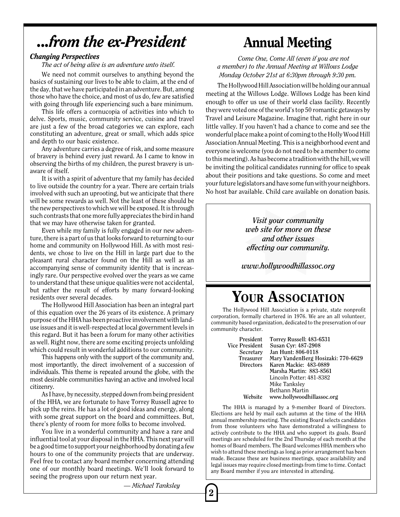## *...from the ex-President*

#### *Changing Perspectives*

*The act of being alive is an adventure unto itself.*

We need not commit ourselves to anything beyond the basics of sustaining our lives to be able to claim, at the end of the day, that we have participated in an adventure. But, among those who have the choice, and most of us do, few are satisfied with going through life experiencing such a bare minimum.

This life offers a cornucopia of activities into which to delve. Sports, music, community service, cuisine and travel are just a few of the broad categories we can explore, each constituting an adventure, great or small, which adds spice and depth to our basic existence.

Any adventure carries a degree of risk, and some measure of bravery is behind every just reward. As I came to know in observing the births of my children, the purest bravery is unaware of itself.

It is with a spirit of adventure that my family has decided to live outside the country for a year. There are certain trials involved with such an uprooting, but we anticipate that there will be some rewards as well. Not the least of these should be the new perspectives to which we will be exposed. It is through such contrasts that one more fully appreciates the bird in hand that we may have otherwise taken for granted.

Even while my family is fully engaged in our new adventure, there is a part of us that looks forward to returning to our home and community on Hollywood Hill. As with most residents, we chose to live on the Hill in large part due to the pleasant rural character found on the Hill as well as an accompanying sense of community identity that is increasingly rare. Our perspective evolved over the years as we came to understand that these unique qualities were not accidental, but rather the result of efforts by many forward-looking residents over several decades.

The Hollywood Hill Association has been an integral part of this equation over the 26 years of its existence. A primary purpose of the HHA has been proactive involvement with landuse issues and it is well-respected at local government levels in this regard. But it has been a forum for many other activities as well. Right now, there are some exciting projects unfolding which could result in wonderful additions to our community.

This happens only with the support of the community and, most importantly, the direct involvement of a succession of individuals. This theme is repeated around the globe, with the most desirable communities having an active and involved local citizenry.

As I have, by necessity, stepped down from being president of the HHA, we are fortunate to have Torrey Russell agree to pick up the reins. He has a lot of good ideas and energy, along with some great support on the board and committees. But, there's plenty of room for more folks to become involved.

You live in a wonderful community and have a rare and influential tool at your disposal in the HHA. This next year will be a good time to support your neighborhood by donating a few hours to one of the community projects that are underway. Feel free to contact any board member concerning attending one of our monthly board meetings. We'll look forward to seeing the progress upon our return next year.

*— Michael Tanksley*

2

### Annual Meeting

*Come One, Come All (even if you are not a member) to the Annual Meeting at Willows Lodge Monday October 21st at 6:30pm through 9:30 pm.*

The Hollywood Hill Association will be holding our annual meeting at the Willows Lodge. Willows Lodge has been kind enough to offer us use of their world class facility. Recently they were voted one of the world's top 50 romantic getaways by Travel and Leisure Magazine. Imagine that, right here in our little valley. If you haven't had a chance to come and see the wonderful place make a point of coming to the Holly Wood Hill Association Annual Meeting. This is a neighborhood event and everyone is welcome (you do not need to be a member to come to this meeting). As has become a tradition with the hill, we will be inviting the political candidates running for office to speak about their positions and take questions. So come and meet your future legislators and have some fun with your neighbors. No host bar available. Child care available on donation basis.

> *Visit your community web site for more on these and other issues effecting our community.*

*www.hollywoodhillassoc.org*

### YOUR ASSOCIATION

The Hollywood Hill Association is a private, state nonprofit corporation, formally chartered in 1976. We are an all volunteer, community based organization, dedicated to the preservation of our community character.

**President Torrey Russell: 483-6531 Vice President Susan Cyr: 487-2908**<br>**Secretary** Jan Hunt: 806-0118 **Secretary Jan Hunt: 806-0118 Treasurer Mary VandenBerg Hosizaki: 770-6629 Directors Karen Mackie: 483-0889 Marsha Martin: 883-8561** Lincoln Potter: 481-8382 Mike Tanksley Bethann Martin **Website www.hollywoodhillassoc.org**

The HHA is managed by a 9-member Board of Directors. Elections are held by mail each autumn at the time of the HHA annual membership meeting. The existing Board selects candidates from those volunteers who have demonstrated a willingness to actively contribute to the HHA and who support its goals. Board meetings are scheduled for the 2nd Thursday of each month at the homes of Board members. The Board welcomes HHA members who wish to attend these meetings as long as prior arrangement has been made. Because these are business meetings, space availability and legal issues may require closed meetings from time to time. Contact any Board member if you are interested in attending.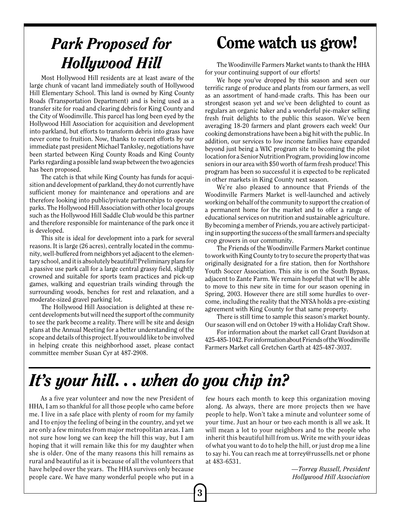## *Park Proposed for Hollywood Hill*

Most Hollywood Hill residents are at least aware of the large chunk of vacant land immediately south of Hollywood Hill Elementary School. This land is owned by King County Roads (Transportation Department) and is being used as a transfer site for road and clearing debris for King County and the City of Woodinville. This parcel has long been eyed by the Hollywood Hill Association for acquisition and development into parkland, but efforts to transform debris into grass have never come to fruition. Now, thanks to recent efforts by our immediate past president Michael Tanksley, negotiations have been started between King County Roads and King County Parks regarding a possible land swap between the two agencies has been proposed.

The catch is that while King County has funds for acquisition and development of parkland, they do not currently have sufficient money for maintenance and operations and are therefore looking into public/private partnerships to operate parks. The Hollywood Hill Association with other local groups such as the Hollywood Hill Saddle Club would be this partner and therefore responsible for maintenance of the park once it is developed.

This site is ideal for development into a park for several reasons. It is large (26 acres), centrally located in the community, well-buffered from neighbors yet adjacent to the elementary school, and it is absolutely beautiful! Preliminary plans for a passive use park call for a large central grassy field, slightly crowned and suitable for sports team practices and pick-up games, walking and equestrian trails winding through the surrounding woods, benches for rest and relaxation, and a moderate-sized gravel parking lot.

The Hollywood Hill Association is delighted at these recent developments but will need the support of the community to see the park become a reality. There will be site and design plans at the Annual Meeting for a better understanding of the scope and details of this project. If you would like to be involved in helping create this neighborhood asset, please contact committee member Susan Cyr at 487-2908.

## Come watch us grow!

The Woodinville Farmers Market wants to thank the HHA for your continuing support of our efforts!

We hope you've dropped by this season and seen our terrific range of produce and plants from our farmers, as well as an assortment of hand-made crafts. This has been our strongest season yet and we've been delighted to count as regulars an organic baker and a wonderful pie-maker selling fresh fruit delights to the public this season. We've been averaging 18-20 farmers and plant growers each week! Our cooking demonstrations have been a big hit with the public. In addition, our services to low income families have expanded beyond just being a WIC program site to becoming the pilot location for a Senior Nutrition Program, providing low income seniors in our area with \$50 worth of farm fresh produce! This program has been so successful it is expected to be replicated in other markets in King County next season.

We're also pleased to announce that Friends of the Woodinville Farmers Market is well-launched and actively working on behalf of the community to support the creation of a permanent home for the market and to offer a range of educational services on nutrition and sustainable agriculture. By becoming a member of Friends, you are actively participating in supporting the success of the small farmers and specialty crop growers in our community.

The Friends of the Woodinville Farmers Market continue to work with King County to try to secure the property that was originally designated for a fire station, then for Northshore Youth Soccer Association. This site is on the South Bypass, adjacent to Zante Farm. We remain hopeful that we'll be able to move to this new site in time for our season opening in Spring, 2003. However there are still some hurdles to overcome, including the reality that the NYSA holds a pre-existing agreement with King County for that same property.

There is still time to sample this season's market bounty. Our season will end on October 19 with a Holiday Craft Show.

For information about the market call Grant Davidson at 425-485-1042. For information about Friends of the Woodinville Farmers Market call Gretchen Garth at 425-487-3037.

# *It's your hill. . . when do you chip in?*

3

As a five year volunteer and now the new President of HHA, I am so thankful for all those people who came before me. I live in a safe place with plenty of room for my family and I to enjoy the feeling of being in the country, and yet we are only a few minutes from major metropolitan areas. I am not sure how long we can keep the hill this way, but I am hoping that it will remain like this for my daughter when she is older. One of the many reasons this hill remains as rural and beautiful as it is because of all the volunteers that have helped over the years. The HHA survives only because people care. We have many wonderful people who put in a few hours each month to keep this organization moving along. As always, there are more projects then we have people to help. Won't take a minute and volunteer some of your time. Just an hour or two each month is all we ask. It will mean a lot to your neighbors and to the people who inherit this beautiful hill from us. Write me with your ideas of what you want to do to help the hill, or just drop me a line to say hi. You can reach me at torrey@russells.net or phone at 483-6531.

> *—Torrey Russell, President Hollywood Hill Association*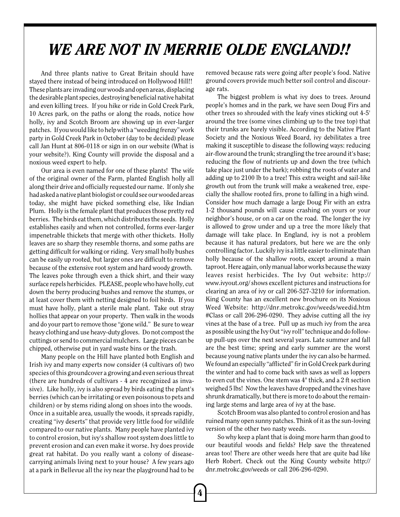## *WE ARE NOT IN MERRIE OLDE ENGLAND!!*

And three plants native to Great Britain should have stayed there instead of being introduced on Hollywood Hill!! These plants are invading our woods and open areas, displacing the desirable plant species, destroying beneficial native habitat and even killing trees. If you hike or ride in Gold Creek Park, 10 Acres park, on the paths or along the roads, notice how holly, ivy and Scotch Broom are showing up in ever-larger patches. If you would like to help with a "weeding frenzy" work party in Gold Creek Park in October (day to be decided) please call Jan Hunt at 806-0118 or sign in on our website (What is your website?). King County will provide the disposal and a noxious weed expert to help.

Our area is even named for one of these plants! The wife of the original owner of the Farm, planted English holly all along their drive and officially requested our name. If only she had asked a native plant biologist or could see our wooded areas today, she might have picked something else, like Indian Plum. Holly is the female plant that produces those pretty red berries. The birds eat them, which distributes the seeds. Holly establishes easily and when not controlled, forms ever-larger impenetrable thickets that merge with other thickets. Holly leaves are so sharp they resemble thorns, and some paths are getting difficult for walking or riding. Very small holly bushes can be easily up rooted, but larger ones are difficult to remove because of the extensive root system and hard woody growth. The leaves poke through even a thick shirt, and their waxy surface repels herbicides. PLEASE, people who have holly, cut down the berry producing bushes and remove the stumps, or at least cover them with netting designed to foil birds. If you must have holly, plant a sterile male plant. Take out stray hollies that appear on your property. Then walk in the woods and do your part to remove those "gone wild." Be sure to wear heavy clothing and use heavy-duty gloves. Do not compost the cuttings or send to commercial mulchers. Large pieces can be chipped, otherwise put in yard waste bins or the trash.

Many people on the Hill have planted both English and Irish ivy and many experts now consider (4 cultivars of) two species of this groundcover a growing and even serious threat (there are hundreds of cultivars - 4 are recognized as invasive). Like holly, ivy is also spread by birds eating the plant's berries (which can be irritating or even poisonous to pets and children) or by stems riding along on shoes into the woods. Once in a suitable area, usually the woods, it spreads rapidly, creating "ivy deserts" that provide very little food for wildlife compared to our native plants. Many people have planted ivy to control erosion, but ivy's shallow root system does little to prevent erosion and can even make it worse. Ivy does provide great rat habitat. Do you really want a colony of diseasecarrying animals living next to your house? A few years ago at a park in Bellevue all the ivy near the playground had to be removed because rats were going after people's food. Native ground covers provide much better soil control and discourage rats.

The biggest problem is what ivy does to trees. Around people's homes and in the park, we have seen Doug Firs and other trees so shrouded with the leafy vines sticking out 4-5' around the tree (some vines climbing up to the tree top) that their trunks are barely visible. According to the Native Plant Society and the Noxious Weed Board, ivy debilitates a tree making it susceptible to disease the following ways: reducing air-flow around the trunk; strangling the tree around it's base; reducing the flow of nutrients up and down the tree (which take place just under the bark); robbing the roots of water and adding up to 2100 lb to a tree! This extra weight and sail-like growth out from the trunk will make a weakened tree, especially the shallow rooted firs, prone to falling in a high wind. Consider how much damage a large Doug Fir with an extra 1-2 thousand pounds will cause crashing on yours or your neighbor's house, or on a car on the road. The longer the ivy is allowed to grow under and up a tree the more likely that damage will take place. In England, ivy is not a problem because it has natural predators, but here we are the only controlling factor. Luckily ivy is a little easier to eliminate than holly because of the shallow roots, except around a main taproot. Here again, only manual labor works because the waxy leaves resist herbicides. The Ivy Out website: http:// www.ivyout.org/ shows excellent pictures and instructions for clearing an area of ivy or call 206-527-3210 for information. King County has an excellent new brochure on its Noxious Weed Website: http://dnr.metrokc.gov/weeds/weedid.htm #Class or call 206-296-0290. They advise cutting all the ivy vines at the base of a tree. Pull up as much ivy from the area as possible using the Ivy Out "ivy roll" technique and do followup pull-ups over the next several years. Late summer and fall are the best time; spring and early summer are the worst because young native plants under the ivy can also be harmed. We found an especially "afflicted" fir in Gold Creek park during the winter and had to come back with saws as well as loppers to even cut the vines. One stem was 4" thick, and a 2 ft section weighed 5 lbs! Now the leaves have dropped and the vines have shrunk dramatically, but there is more to do about the remaining large stems and large area of ivy at the base.

Scotch Broom was also planted to control erosion and has ruined many open sunny patches. Think of it as the sun-loving version of the other two nasty weeds.

So why keep a plant that is doing more harm than good to our beautiful woods and fields? Help save the threatened areas too! There are other weeds here that are quite bad like Herb Robert. Check out the King County website http:// dnr.metrokc.gov/weeds or call 206-296-0290.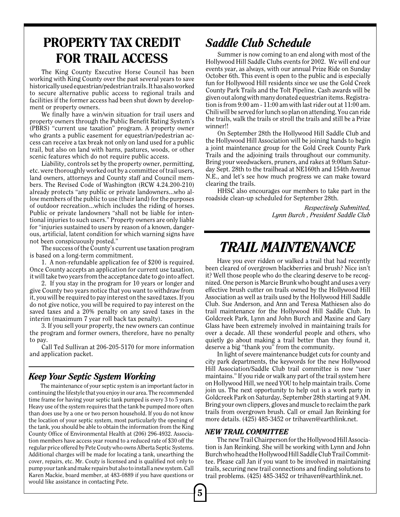### PROPERTY TAX CREDIT FOR TRAIL ACCESS

The King County Executive Horse Council has been working with King County over the past several years to save historically used equestrian/pedestrian trails. It has also worked to secure alternative public access to regional trails and facilities if the former access had been shut down by development or property owners.

We finally have a win/win situation for trail users and property owners through the Public Benefit Rating System's (PBRS) "current use taxation" program. A property owner who grants a public easement for equestrian/pedestrian access can receive a tax break not only on land used for a public trail, but also on land with barns, pastures, woods, or other scenic features which do not require public access.

Liability, controls set by the property owner, permitting, etc. were thoroughly worked out by a committee of trail users, land owners, attorneys and County staff and Council members. The Revised Code of Washington (RCW 4.24.200-210) already protects "any public or private landowners...who allow members of the public to use (their land) for the purposes of outdoor recreation...which includes the riding of horses. Public or private landowners "shall not be liable for intentional injuries to such users." Property owners are only liable for "injuries sustained to users by reason of a known, dangerous, artificial, latent condition for which warning signs have not been conspicuously posted."

The success of the County's current use taxation program is based on a long-term commitment.

1. A non-refundable application fee of \$200 is required. Once County accepts an application for current use taxation, it will take two years from the acceptance date to go into affect.

2. If you stay in the program for 10 years or longer and give County two years notice that you want to withdraw from it, you will be required to pay interest on the saved taxes. If you do not give notice, you will be required to pay interest on the saved taxes and a 20% penalty on any saved taxes in the interim (maximum 7 year roll back tax penalty).

3. If you sell your property, the new owners can continue the program and former owners, therefore, have no penalty to pay.

Call Ted Sullivan at 206-205-5170 for more information and application packet.

#### *Keep Your Septic System Working*

The maintenance of your septic system is an important factor in continuing the lifestyle that you enjoy in our area. The recommended time frame for having your septic tank pumped is every 3 to 5 years. Heavy use of the system requires that the tank be pumped more often than does use by a one or two person household. If you do not know the location of your septic system, most particularly the opening of the tank, you should be able to obtain the information from the King County Office of Environmental Health at (206) 296-4932. Association members have access year round to a reduced rate of \$30 off the regular price offered by Pete Couty who owns Alberta Septic Systems. Additional charges will be made for locating a tank, unearthing the cover, repairs, etc. Mr. Couty is licensed and is qualified not only to pump your tank and make repairs but also to install a new system. Call Karen Mackie, board member, at 483-0889 if you have questions or would like assistance in contacting Pete.

#### *Saddle Club Schedule*

Summer is now coming to an end along with most of the Hollywood Hill Saddle Clubs events for 2002. We will end our events year, as always, with our annual Prize Ride on Sunday October 6th. This event is open to the public and is especially fun for Hollywood Hill residents since we use the Gold Creek County Park Trails and the Tolt Pipeline. Cash awards will be given out along with many donated equestrian items. Registration is from 9:00 am - 11:00 am with last rider out at 11:00 am. Chili will be served for lunch so plan on attending. You can ride the trails, walk the trails or stroll the trails and still be a Prize winner!!

On September 28th the Hollywood Hill Saddle Club and the Hollywood Hill Association will be joining hands to begin a joint maintenance group for the Gold Creek County Park Trails and the adjoining trails throughout our community. Bring your weedwackers, pruners, and rakes at 9:00am Saturday Sept. 28th to the trailhead at NE160th and 154th Avenue N.E., and let's see how much progress we can make toward clearing the trails.

HHSC also encourages our members to take part in the roadside clean-up scheduled for September 28th.

> *Respectively Submitted, Lynn Burch , President Saddle Club*

### *TRAIL MAINTENANCE*

Have you ever ridden or walked a trail that had recently been cleared of overgrown blackberries and brush? Nice isn't it? Well those people who do the clearing deserve to be recognized. One person is Marcie Brunk who bought and uses a very effective brush cutter on trails owned by the Hollywood Hill Association as well as trails used by the Hollywood Hill Saddle Club. Sue Anderson, and Ann and Teresa Mathiesen also do trail maintenance for the Hollywood Hill Saddle Club. In Goldcreek Park, Lynn and John Burch and Maxine and Gary Glass have been extremely involved in maintaining trails for over a decade. All these wonderful people and others, who quietly go about making a trail better than they found it, deserve a big "thank you" from the community.

In light of severe maintenance budget cuts for county and city park departments, the keywords for the new Hollywood Hill Association/Saddle Club trail committee is now "user maintains." If you ride or walk any part of the trail system here on Hollywood Hill, we need YOU to help maintain trails. Come join us. The next opportunity to help out is a work party in Goldcreek Park on Saturday, September 28th starting at 9 AM. Bring your own clippers, gloves and muscle to reclaim the park trails from overgrown brush. Call or email Jan Reinking for more details. (425) 485-3452 or trihaven@earthlink.net.

#### *NEW TRAIL COMMITTEE*

The new Trail Chairperson for the Hollywood Hill Association is Jan Reinking. She will be working with Lynn and John Burch who head the Hollywood Hill Saddle Club Trail Committee. Please call Jan if you want to be involved in maintaining trails, securing new trail connections and finding solutions to trail problems. (425) 485-3452 or trihaven@earthlink.net.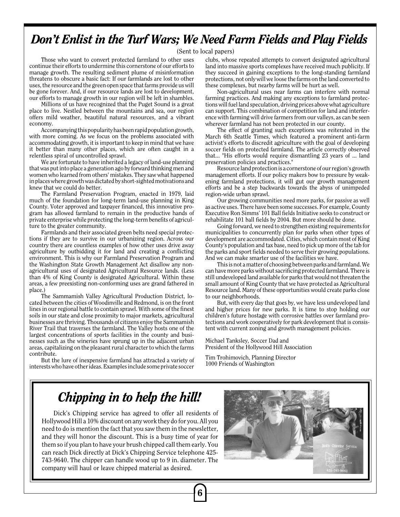#### *Don't Enlist in the Turf Wars; We Need Farm Fields and Play Fields*

(Sent to local papers)

Those who want to convert protected farmland to other uses continue their efforts to undermine this cornerstone of our efforts to manage growth. The resulting sediment plume of misinformation threatens to obscure a basic fact: If our farmlands are lost to other uses, the resource and the green open space that farms provide us will be gone forever. And, if our resource lands are lost to development, our efforts to manage growth in our region will be left in shambles.

Millions of us have recognized that the Puget Sound is a great place to live. Nestled between the mountains and sea, our region offers mild weather, beautiful natural resources, and a vibrant economy.

Accompanying this popularity has been rapid population growth, with more coming. As we focus on the problems associated with accommodating growth, it is important to keep in mind that we have it better than many other places, which are often caught in a relentless spiral of uncontrolled sprawl.

We are fortunate to have inherited a legacy of land-use planning that was put into place a generation ago by forward thinking men and women who learned from others' mistakes. They saw what happened in places where growth was dictated by short-sighted motivations and knew that we could do better.

The Farmland Preservation Program, enacted in 1979, laid much of the foundation for long-term land-use planning in King County. Voter approved and taxpayer financed, this innovative program has allowed farmland to remain in the productive hands of private enterprise while protecting the long-term benefits of agriculture to the greater community.

Farmlands and their associated green belts need special protections if they are to survive in our urbanizing region. Across our country there are countless examples of how other uses drive away agriculture by outbidding it for land and creating a conflicting environment. This is why our Farmland Preservation Program and the Washington State Growth Management Act disallow any nonagricultural uses of designated Agricultural Resource lands. (Less than 4% of King County is designated Agricultural. Within these areas, a few preexisting non-conforming uses are grand fathered in place.)

The Sammamish Valley Agricultural Production District, located between the cities of Woodinville and Redmond, is on the front lines in our regional battle to contain sprawl. With some of the finest soils in our state and close proximity to major markets, agricultural businesses are thriving. Thousands of citizens enjoy the Sammamish River Trail that traverses the farmland. The Valley hosts one of the largest concentrations of sports facilities in the county and businesses such as the wineries have sprung up in the adjacent urban areas, capitalizing on the pleasant rural character to which the farms contribute.

But the lure of inexpensive farmland has attracted a variety of interests who have other ideas. Examples include some private soccer clubs, whose repeated attempts to convert designated agricultural land into massive sports complexes have received much publicity. If they succeed in gaining exceptions to the long-standing farmland protections, not only will we loose the farms on the land converted to these complexes, but nearby farms will be hurt as well.

Non-agricultural uses near farms can interfere with normal farming practices. And making any exceptions to farmland protections will fuel land speculation, driving prices above what agriculture can support. This combination of competition for land and interference with farming will drive farmers from our valleys, as can be seen wherever farmland has not been protected in our county.

The effect of granting such exceptions was reiterated in the March 6th Seattle Times, which featured a prominent anti-farm activist's efforts to discredit agriculture with the goal of developing soccer fields on protected farmland. The article correctly observed that... "His efforts would require dismantling 23 years of ... land preservation policies and practices."

Resource land protection is a cornerstone of our region's growth management efforts. If our policy makers bow to pressure by weakening farmland protections, it will gut our growth management efforts and be a step backwards towards the abyss of unimpeded region-wide urban sprawl.

Our growing communities need more parks, for passive as well as active uses. There have been some successes. For example, County Executive Ron Simms' 101 Ball fields Initiative seeks to construct or rehabilitate 101 ball fields by 2004. But more should be done.

Going forward, we need to strengthen existing requirements for municipalities to concurrently plan for parks when other types of development are accommodated. Cities, which contain most of King County's population and tax base, need to pick up more of the tab for the parks and sport fields needed to serve their growing populations. And we can make smarter use of the facilities we have.

This is not a matter of choosing between parks and farmland. We can have more parks without sacrificing protected farmland. There is still undeveloped land available for parks that would not threaten the small amount of King County that we have protected as Agricultural Resource land. Many of these opportunities would create parks close to our neighborhoods.

But, with every day that goes by, we have less undeveloped land and higher prices for new parks. It is time to stop holding our children's future hostage with corrosive battles over farmland protections and work cooperatively for park development that is consistent with current zoning and growth management policies.

Michael Tanksley, Soccer Dad and President of the Hollywood Hill Association

Tim Trohimovich, Planning Director 1000 Friends of Washington

6

#### *Chipping in to help the hill!*

Dick's Chipping service has agreed to offer all residents of Hollywood Hill a 10% discount on any work they do for you. All you need to do is mention the fact that you saw them in the newsletter, and they will honor the discount. This is a busy time of year for them so if you plan to have your brush chipped call them early. You can reach Dick directly at Dick's Chipping Service telephone 425- 743-9640. The chipper can handle wood up to 9 in. diameter. The company will haul or leave chipped material as desired.

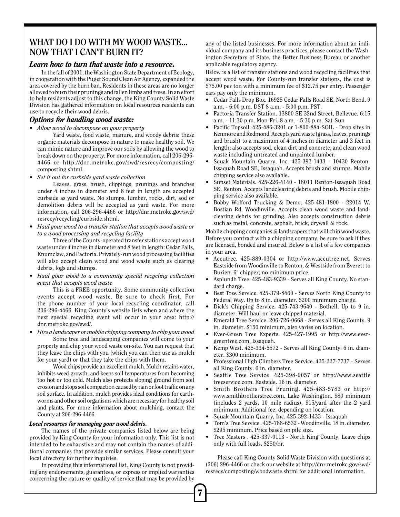#### **WHAT DO I DO WITH MY WOOD WASTE... NOW THAT I CAN'T BURN IT?**

#### *Learn how to turn that waste into a resource.*

In the fall of 2001, the Washington State Department of Ecology, in cooperation with the Puget Sound Clean Air Agency, expanded the area covered by the burn ban. Residents in these areas are no longer allowed to burn their prunings and fallen limbs and trees. In an effort to help residents adjust to this change, the King County Solid Waste Division has gathered information on local resources residents can use to recycle their wood debris.

#### *Options for handling wood waste:*

*• Allow wood to decompose on your property*

Yard waste, food waste, manure, and woody debris: these organic materials decompose in nature to make healthy soil. We can mimic nature and improve our soils by allowing the wood to break down on the property. For more information, call 206-296- 4466 or http://dnr.metrokc.gov/swd/resrecy/composting/ composting.shtml.

*• Set it out for curbside yard waste collection*

Leaves, grass, brush, clippings, prunings and branches under 4 inches in diameter and 8 feet in length are accepted curbside as yard waste. No stumps, lumber, rocks, dirt, sod or demolition debris will be accepted as yard waste. For more information, call 206-296-4466 or http://dnr.metrokc.gov/swd/ resrecy/recycling/curbside.shtml.

*• Haul your wood to a transfer station that accepts wood waste or to a wood processing and recycling facility*

Three of the County-operated transfer stations accept wood waste under 4 inches in diameter and 8 feet in length: Cedar Falls, Enumclaw, and Factoria. Privately-run wood processing facilities will also accept clean wood and wood waste such as clearing debris, logs and stumps.

*• Haul your wood to a community special recycling collection event that accepts wood waste*

This is a FREE opportunity. Some community collection events accept wood waste. Be sure to check first. For the phone number of your local recycling coordinator, call 206-296-4466. King County's website lists when and where the next special recycling event will occur in your area: http:// dnr.metrokc.gov/swd/.

*• Hire a landscaper or mobile chipping company to chip your wood* Some tree and landscaping companies will come to your property and chip your wood waste on-site. You can request that they leave the chips with you (which you can then use as mulch for your yard) or that they take the chips with them.

Wood chips provide an excellent mulch. Mulch retains water, inhibits weed growth, and keeps soil temperatures from becoming too hot or too cold. Mulch also protects sloping ground from soil erosion and stops soil compaction caused by rain or foot traffic on any soil surface. In addition, mulch provides ideal conditions for earthworms and other soil organisms which are necessary for healthy soil and plants. For more information about mulching, contact the County at 206-296-4466.

#### *Local resources for managing your wood debris.*

The names of the private companies listed below are being provided by King County for your information only. This list is not intended to be exhaustive and may not contain the names of additional companies that provide similar services. Please consult your local directory for further inquiries.

In providing this informational list, King County is not providing any endorsements, guarantees, or express or implied warranties concerning the nature or quality of service that may be provided by

7

any of the listed businesses. For more information about an individual company and its business practices, please contact the Washington Secretary of State, the Better Business Bureau or another applicable regulatory agency.

Below is a list of transfer stations and wood recycling facilities that accept wood waste. For County-run transfer stations, the cost is \$75.00 per ton with a minimum fee of \$12.75 per entry. Passenger cars pay only the minimum.

- Cedar Falls Drop Box. 16925 Cedar Falls Road SE, North Bend. 9 a.m. - 6:00 p.m. DST 8 a.m. - 5:00 p.m. PST.
- Factoria Transfer Station. 13800 SE 32nd Street, Bellevue. 6:15 a.m. - 11:30 p.m. Mon-Fri. 8 a.m. - 5:30 p.m. Sat-Sun
- Pacific Topsoil. 425-486-3201 or 1-800-884-SOIL Drop sites in Kenmore and Redmond. Accepts yard waste (grass, leaves, prunings and brush) to a maximum of 4 inches in diameter and 3 feet in length; also accepts sod, clean dirt and concrete, and clean wood waste including untreated and unpainted lumber.
- Squak Mountain Quarry, Inc. 425-392-1433 10430 Renton-Issaquah Road SE, Issaquah. Accepts brush and stumps. Mobile chipping service also available.
- Sunset Materials. 425-226-4140 18011 Renton-Issaquah Road SE, Renton. Accepts landclearing debris and brush. Mobile chipping service also available.
- Bobby Wolford Trucking & Demo. 425-481-1800 22014 W. Bostian Rd, Woodinville. Accepts clean wood waste and landclearing debris for grinding. Also accepts construction debris such as metal, concrete, asphalt, brick, drywall & rock.

Mobile chipping companies & landscapers that will chip wood waste. Before you contract with a chipping company, be sure to ask if they are licensed, bonded and insured. Below is a list of a few companies in your area.

- Accutree. 425-889-0304 or http://www.accutree.net. Serves Eastside from Woodinville to Renton, & Westside from Everett to Burien. 6" chipper; no minimum price.
- Asplundh Tree. 425-483-9339 Serves all King County. No standard charge.
- Best Tree Service. 425-379-8460 Serves North King County to Federal Way. Up to 8 in. diameter. \$200 minimum charge.
- Dick's Chipping Service. 425-743-9640 Bothell. Up to 9 in. diameter. Will haul or leave chipped material.
- Emerald Tree Service. 206-726-0668 Serves all King County. 9 in. diameter. \$150 minimum, also varies on location.
- Ever-Green Tree Experts. 425-427-1995 or http://www.evergreentree.com. Issaquah.
- Kemp West. 425-334-5572 Serves all King County. 6 in. diameter. \$300 minimum.
- Professional High Climbers Tree Service. 425-227-7737 Serves all King County. 6 in. diameter.
- Seattle Tree Service. 425-398-9057 or http://www.seattle treeservice.com. Eastside. 16 in. diameter.
- Smith Brothers Tree Pruning. 425-483-5783 or http:// www.smithbrotherstree.com. Lake Washington. \$80 minimum (includes 2 yards, 10 mile radius), \$15/yard after the 2 yard minimum. Additional fee, depending on location.
- Squak Mountain Quarry, Inc. 425-392-1433 Issaquah
- Tom's Tree Service . 425-788-6532 Woodinville. 18 in. diameter. \$295 minimum. Price based on pile size.
- Tree Masters . 425-337-0113 North King County. Leave chips only with full loads. \$250/hr.

Please call King County Solid Waste Division with questions at (206) 296-4466 or check our website at http://dnr.metrokc.gov/swd/ resrecy/composting/woodwaste.shtml for additional information.